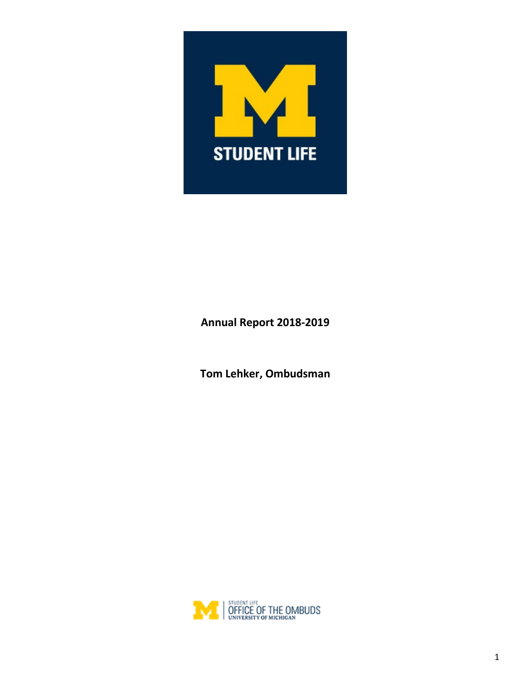

# **Annual Report 2018-2019**

**Tom Lehker, Ombudsman**

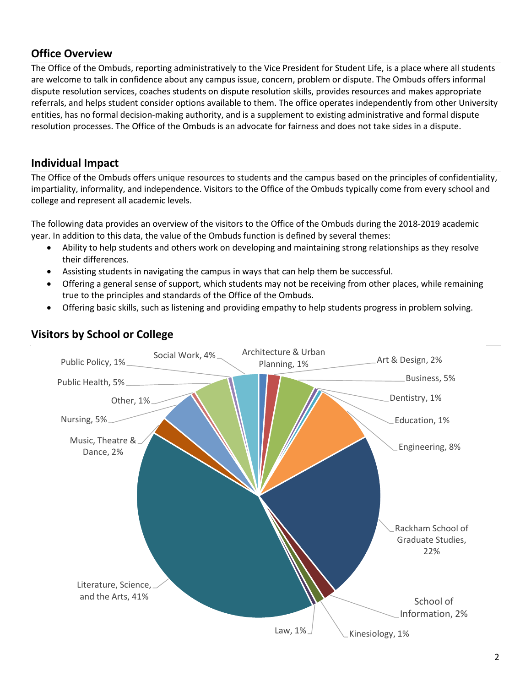#### **Office Overview**

The Office of the Ombuds, reporting administratively to the Vice President for Student Life, is a place where all students are welcome to talk in confidence about any campus issue, concern, problem or dispute. The Ombuds offers informal dispute resolution services, coaches students on dispute resolution skills, provides resources and makes appropriate referrals, and helps student consider options available to them. The office operates independently from other University entities, has no formal decision-making authority, and is a supplement to existing administrative and formal dispute resolution processes. The Office of the Ombuds is an advocate for fairness and does not take sides in a dispute.

#### **Individual Impact**

The Office of the Ombuds offers unique resources to students and the campus based on the principles of confidentiality, impartiality, informality, and independence. Visitors to the Office of the Ombuds typically come from every school and college and represent all academic levels.

The following data provides an overview of the visitors to the Office of the Ombuds during the 2018-2019 academic year. In addition to this data, the value of the Ombuds function is defined by several themes:

- Ability to help students and others work on developing and maintaining strong relationships as they resolve their differences.
- Assisting students in navigating the campus in ways that can help them be successful.
- Offering a general sense of support, which students may not be receiving from other places, while remaining true to the principles and standards of the Office of the Ombuds.
- Offering basic skills, such as listening and providing empathy to help students progress in problem solving.



### **Visitors by School or College**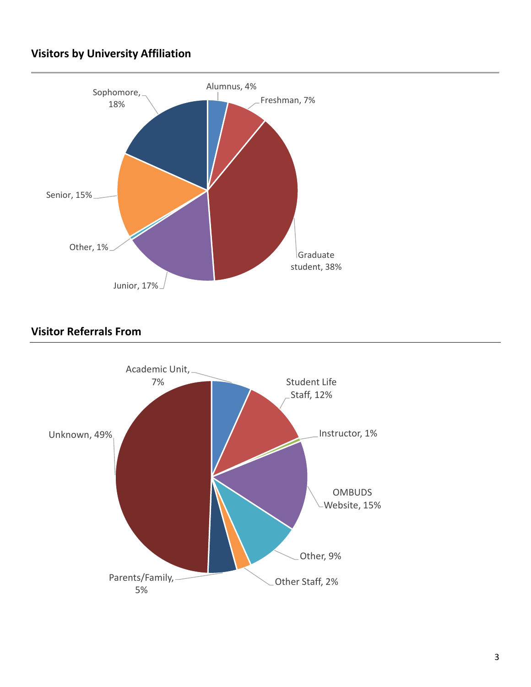# **Visitors by University Affiliation**



### **Visitor Referrals From**

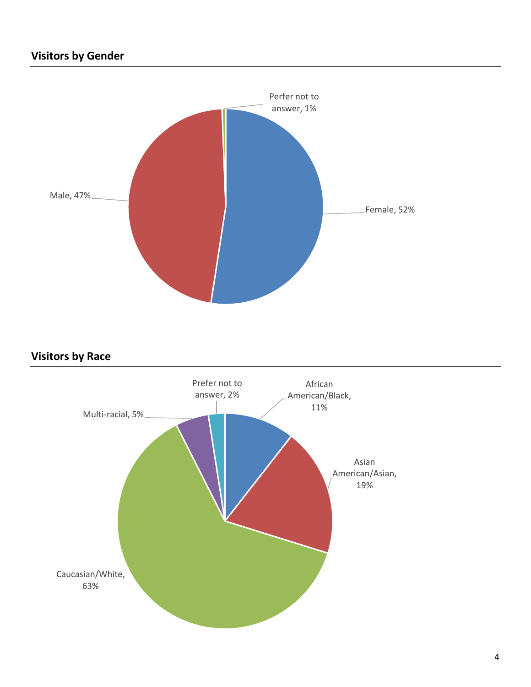

# **Visitors by Race**

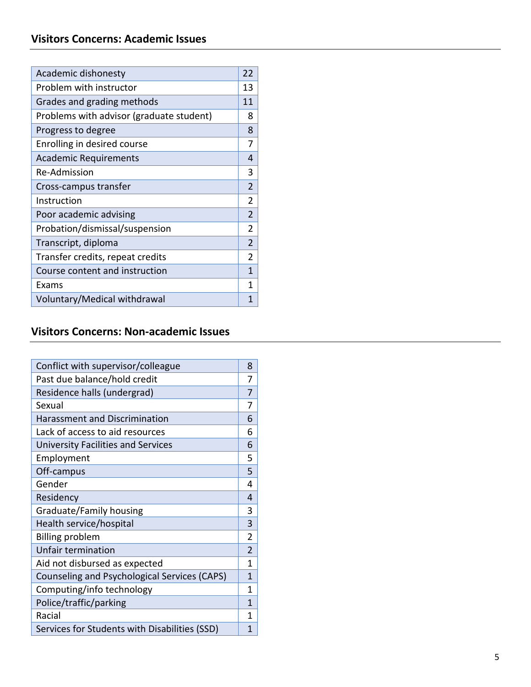| Academic dishonesty                      | 22             |
|------------------------------------------|----------------|
| Problem with instructor                  | 13             |
| Grades and grading methods               | 11             |
| Problems with advisor (graduate student) | 8              |
| Progress to degree                       | 8              |
| Enrolling in desired course              | 7              |
| <b>Academic Requirements</b>             | 4              |
| <b>Re-Admission</b>                      | 3              |
| Cross-campus transfer                    | $\mathfrak{p}$ |
| Instruction                              | 2              |
| Poor academic advising                   | $\overline{2}$ |
| Probation/dismissal/suspension           | $\mathfrak{p}$ |
| Transcript, diploma                      | $\mathfrak{p}$ |
| Transfer credits, repeat credits         | 2              |
| Course content and instruction           | 1              |
| Exams                                    | 1              |
| Voluntary/Medical withdrawal             | 1              |

#### **Visitors Concerns: Non -academic Issues**

| Conflict with supervisor/colleague                  | 8              |
|-----------------------------------------------------|----------------|
| Past due balance/hold credit                        | 7              |
| Residence halls (undergrad)                         | 7              |
| Sexual                                              | 7              |
| <b>Harassment and Discrimination</b>                | 6              |
| Lack of access to aid resources                     | 6              |
| <b>University Facilities and Services</b>           | 6              |
| Employment                                          | 5              |
| Off-campus                                          | 5              |
| Gender                                              | 4              |
| Residency                                           | 4              |
| Graduate/Family housing                             | 3              |
| Health service/hospital                             | 3              |
| <b>Billing problem</b>                              | 2              |
| Unfair termination                                  | $\overline{2}$ |
| Aid not disbursed as expected                       | 1              |
| <b>Counseling and Psychological Services (CAPS)</b> | 1              |
| Computing/info technology                           | 1              |
| Police/traffic/parking                              | 1              |
| Racial                                              | 1              |
| Services for Students with Disabilities (SSD)       | 1              |